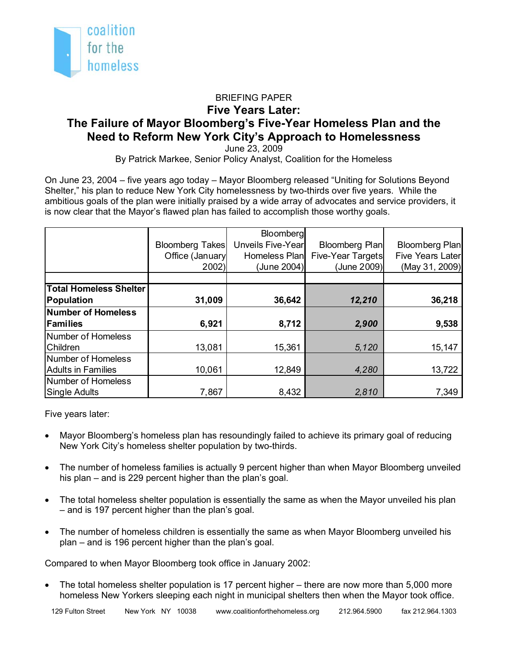

## BRIEFING PAPER **Five Years Later: The Failure of Mayor Bloomberg's Five-Year Homeless Plan and the Need to Reform New York City's Approach to Homelessness**

June 23, 2009

By Patrick Markee, Senior Policy Analyst, Coalition for the Homeless

On June 23, 2004 – five years ago today – Mayor Bloomberg released "Uniting for Solutions Beyond Shelter," his plan to reduce New York City homelessness by two-thirds over five years. While the ambitious goals of the plan were initially praised by a wide array of advocates and service providers, it is now clear that the Mayor's flawed plan has failed to accomplish those worthy goals.

|                               | <b>Bloomberg Takes</b><br>Office (January<br>2002 | Bloomberg<br>Unveils Five-Year<br>Homeless Plan<br>(June 2004) | Bloomberg Plan<br>Five-Year Targets<br>(June 2009) | <b>Bloomberg Plan</b><br><b>Five Years Later</b><br>(May 31, 2009) |
|-------------------------------|---------------------------------------------------|----------------------------------------------------------------|----------------------------------------------------|--------------------------------------------------------------------|
| <b>Total Homeless Shelter</b> |                                                   |                                                                |                                                    |                                                                    |
| Population                    | 31,009                                            | 36,642                                                         | 12,210                                             | 36,218                                                             |
| <b>Number of Homeless</b>     |                                                   |                                                                |                                                    |                                                                    |
| <b>Families</b>               | 6,921                                             | 8,712                                                          | 2,900                                              | 9,538                                                              |
| Number of Homeless            |                                                   |                                                                |                                                    |                                                                    |
| <b>IChildren</b>              | 13,081                                            | 15,361                                                         | 5,120                                              | 15,147                                                             |
| Number of Homeless            |                                                   |                                                                |                                                    |                                                                    |
| <b>Adults in Families</b>     | 10,061                                            | 12,849                                                         | 4,280                                              | 13,722                                                             |
| Number of Homeless            |                                                   |                                                                |                                                    |                                                                    |
| Single Adults                 | 7,867                                             | 8,432                                                          | 2,810                                              | 7,349                                                              |

Five years later:

- Mayor Bloomberg's homeless plan has resoundingly failed to achieve its primary goal of reducing New York City's homeless shelter population by two-thirds.
- The number of homeless families is actually 9 percent higher than when Mayor Bloomberg unveiled his plan – and is 229 percent higher than the plan's goal.
- The total homeless shelter population is essentially the same as when the Mayor unveiled his plan – and is 197 percent higher than the plan's goal.
- The number of homeless children is essentially the same as when Mayor Bloomberg unveiled his plan – and is 196 percent higher than the plan's goal.

Compared to when Mayor Bloomberg took office in January 2002:

• The total homeless shelter population is 17 percent higher – there are now more than 5,000 more homeless New Yorkers sleeping each night in municipal shelters then when the Mayor took office.